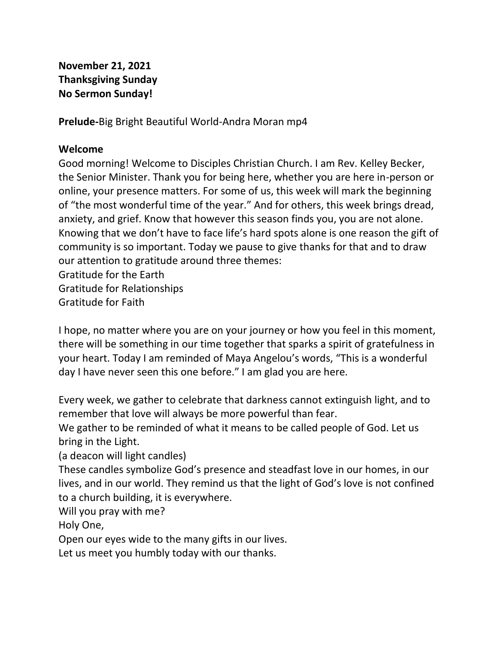## **November 21, 2021 Thanksgiving Sunday No Sermon Sunday!**

**Prelude-**Big Bright Beautiful World-Andra Moran mp4

#### **Welcome**

Good morning! Welcome to Disciples Christian Church. I am Rev. Kelley Becker, the Senior Minister. Thank you for being here, whether you are here in-person or online, your presence matters. For some of us, this week will mark the beginning of "the most wonderful time of the year." And for others, this week brings dread, anxiety, and grief. Know that however this season finds you, you are not alone. Knowing that we don't have to face life's hard spots alone is one reason the gift of community is so important. Today we pause to give thanks for that and to draw our attention to gratitude around three themes: Gratitude for the Earth Gratitude for Relationships

Gratitude for Faith

I hope, no matter where you are on your journey or how you feel in this moment, there will be something in our time together that sparks a spirit of gratefulness in your heart. Today I am reminded of Maya Angelou's words, "This is a wonderful day I have never seen this one before." I am glad you are here.

Every week, we gather to celebrate that darkness cannot extinguish light, and to remember that love will always be more powerful than fear.

We gather to be reminded of what it means to be called people of God. Let us bring in the Light.

(a deacon will light candles)

These candles symbolize God's presence and steadfast love in our homes, in our lives, and in our world. They remind us that the light of God's love is not confined to a church building, it is everywhere.

Will you pray with me?

Holy One,

Open our eyes wide to the many gifts in our lives.

Let us meet you humbly today with our thanks.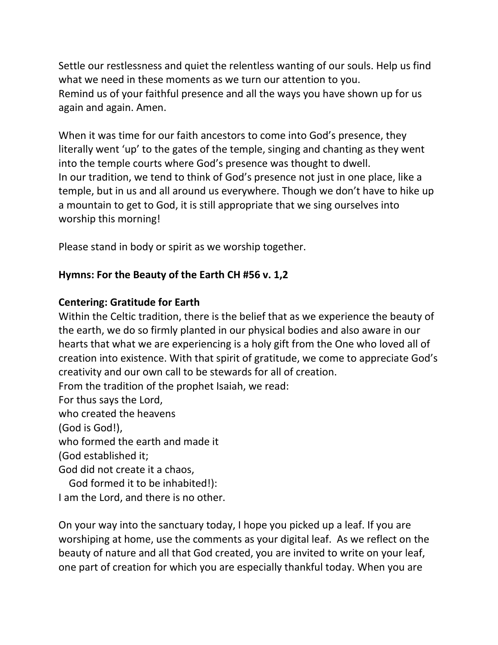Settle our restlessness and quiet the relentless wanting of our souls. Help us find what we need in these moments as we turn our attention to you. Remind us of your faithful presence and all the ways you have shown up for us again and again. Amen.

When it was time for our faith ancestors to come into God's presence, they literally went 'up' to the gates of the temple, singing and chanting as they went into the temple courts where God's presence was thought to dwell. In our tradition, we tend to think of God's presence not just in one place, like a temple, but in us and all around us everywhere. Though we don't have to hike up a mountain to get to God, it is still appropriate that we sing ourselves into worship this morning!

Please stand in body or spirit as we worship together.

#### **Hymns: For the Beauty of the Earth CH #56 v. 1,2**

#### **Centering: Gratitude for Earth**

Within the Celtic tradition, there is the belief that as we experience the beauty of the earth, we do so firmly planted in our physical bodies and also aware in our hearts that what we are experiencing is a holy gift from the One who loved all of creation into existence. With that spirit of gratitude, we come to appreciate God's creativity and our own call to be stewards for all of creation. From the tradition of the prophet Isaiah, we read: For thus says the Lord, who created the heavens (God is God!), who formed the earth and made it (God established it; God did not create it a chaos, God formed it to be inhabited!): I am the Lord, and there is no other.

On your way into the sanctuary today, I hope you picked up a leaf. If you are worshiping at home, use the comments as your digital leaf. As we reflect on the beauty of nature and all that God created, you are invited to write on your leaf, one part of creation for which you are especially thankful today. When you are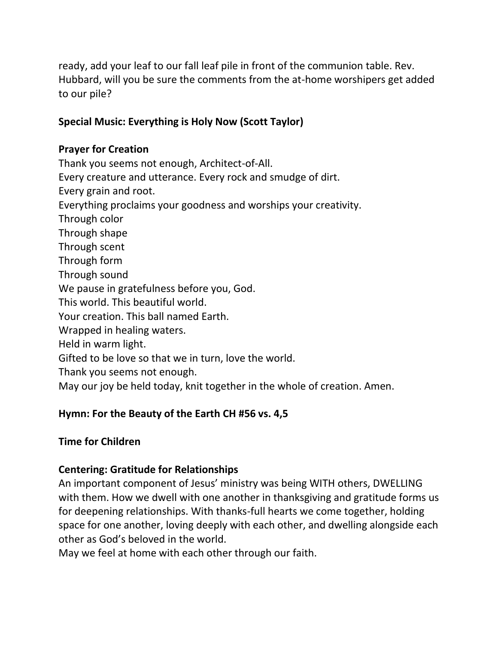ready, add your leaf to our fall leaf pile in front of the communion table. Rev. Hubbard, will you be sure the comments from the at-home worshipers get added to our pile?

# **Special Music: Everything is Holy Now (Scott Taylor)**

#### **Prayer for Creation**

Thank you seems not enough, Architect-of-All. Every creature and utterance. Every rock and smudge of dirt. Every grain and root. Everything proclaims your goodness and worships your creativity. Through color Through shape Through scent Through form Through sound We pause in gratefulness before you, God. This world. This beautiful world. Your creation. This ball named Earth. Wrapped in healing waters. Held in warm light. Gifted to be love so that we in turn, love the world. Thank you seems not enough. May our joy be held today, knit together in the whole of creation. Amen.

## **Hymn: For the Beauty of the Earth CH #56 vs. 4,5**

# **Time for Children**

## **Centering: Gratitude for Relationships**

An important component of Jesus' ministry was being WITH others, DWELLING with them. How we dwell with one another in thanksgiving and gratitude forms us for deepening relationships. With thanks-full hearts we come together, holding space for one another, loving deeply with each other, and dwelling alongside each other as God's beloved in the world.

May we feel at home with each other through our faith.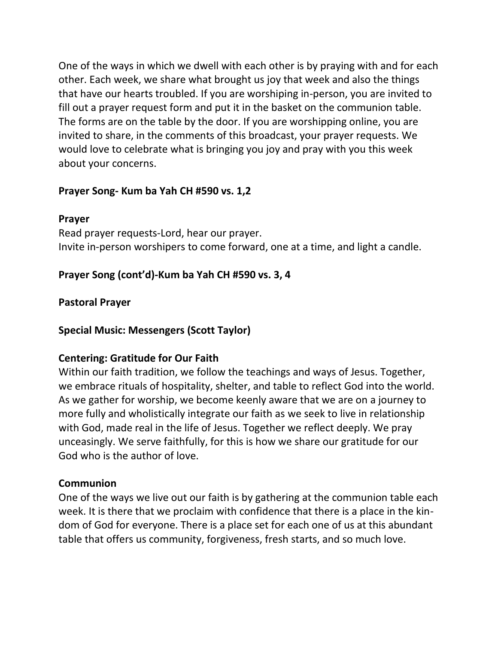One of the ways in which we dwell with each other is by praying with and for each other. Each week, we share what brought us joy that week and also the things that have our hearts troubled. If you are worshiping in-person, you are invited to fill out a prayer request form and put it in the basket on the communion table. The forms are on the table by the door. If you are worshipping online, you are invited to share, in the comments of this broadcast, your prayer requests. We would love to celebrate what is bringing you joy and pray with you this week about your concerns.

## **Prayer Song- Kum ba Yah CH #590 vs. 1,2**

#### **Prayer**

Read prayer requests-Lord, hear our prayer. Invite in-person worshipers to come forward, one at a time, and light a candle.

## **Prayer Song (cont'd)-Kum ba Yah CH #590 vs. 3, 4**

#### **Pastoral Prayer**

**Special Music: Messengers (Scott Taylor)**

## **Centering: Gratitude for Our Faith**

Within our faith tradition, we follow the teachings and ways of Jesus. Together, we embrace rituals of hospitality, shelter, and table to reflect God into the world. As we gather for worship, we become keenly aware that we are on a journey to more fully and wholistically integrate our faith as we seek to live in relationship with God, made real in the life of Jesus. Together we reflect deeply. We pray unceasingly. We serve faithfully, for this is how we share our gratitude for our God who is the author of love.

#### **Communion**

One of the ways we live out our faith is by gathering at the communion table each week. It is there that we proclaim with confidence that there is a place in the kindom of God for everyone. There is a place set for each one of us at this abundant table that offers us community, forgiveness, fresh starts, and so much love.